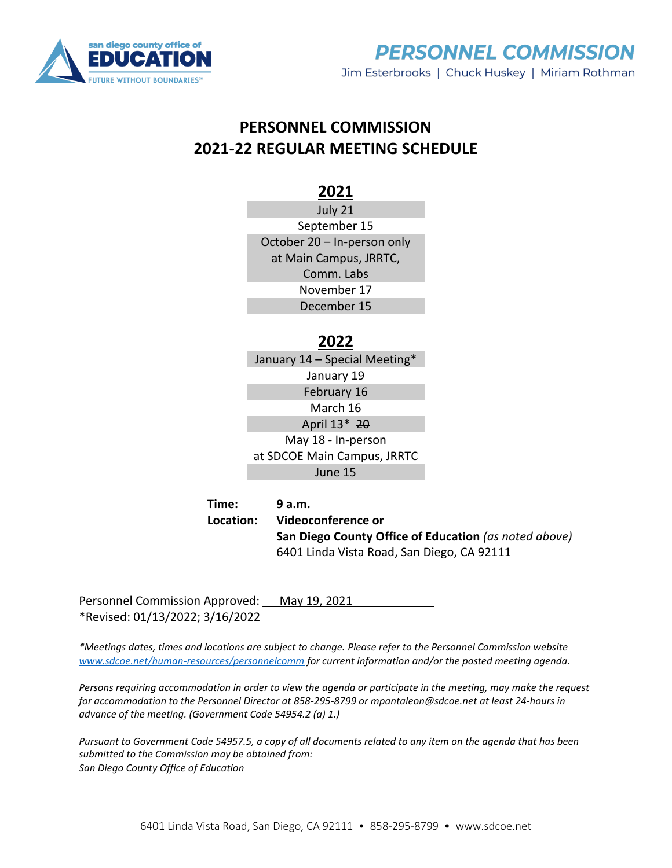



## **PERSONNEL COMMISSION 2021-22 REGULAR MEETING SCHEDULE**

## **2021**

July 21 September 15 October 20 – In-person only at Main Campus, JRRTC, Comm. Labs November 17 December 15

## **2022**

January 14 – Special Meeting\* January 19 February 16 March 16 April 13\* 20 May 18 - In-person at SDCOE Main Campus, JRRTC June 15

**Time: 9 a.m. Location: Videoconference or San Diego County Office of Education** *(as noted above)* 6401 Linda Vista Road, San Diego, CA 92111

Personnel Commission Approved: May 19, 2021 \*Revised: 01/13/2022; 3/16/2022

*\*Meetings dates, times and locations are subject to change. Please refer to the Personnel Commission website [www.sdcoe.net/human-resources/personnelcomm](http://www.sdcoe.net/human-resources/personnelcomm) for current information and/or the posted meeting agenda.*

*Persons requiring accommodation in order to view the agenda or participate in the meeting, may make the request for accommodation to the Personnel Director at 858-295-8799 or mpantaleon@sdcoe.net at least 24-hours in advance of the meeting. (Government Code 54954.2 (a) 1.)*

*Pursuant to Government Code 54957.5, a copy of all documents related to any item on the agenda that has been submitted to the Commission may be obtained from: San Diego County Office of Education*